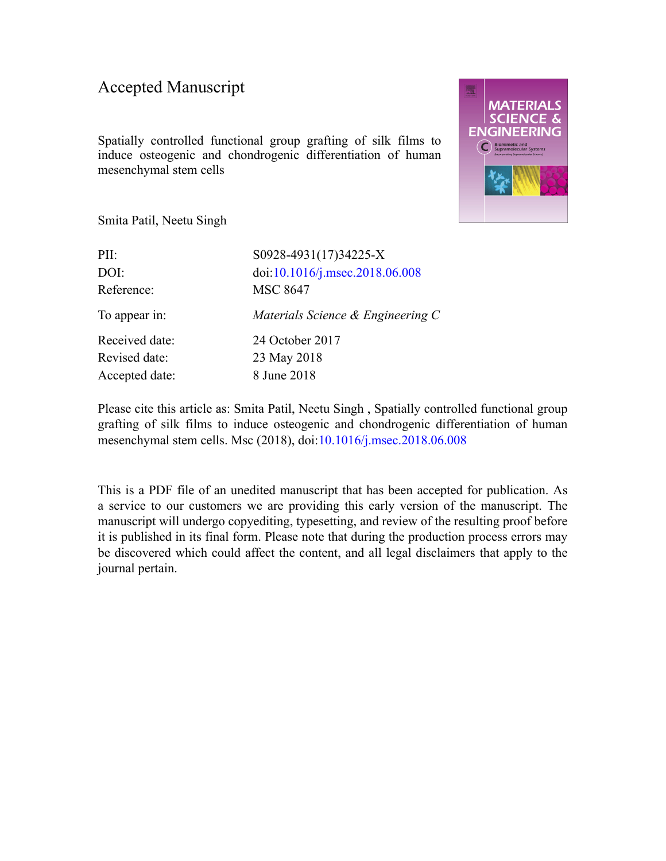### Accepted Manuscript

Spatially controlled functional group grafting of silk films to induce osteogenic and chondrogenic differentiation of human mesenchymal stem cells



Smita Patil, Neetu Singh

| PII:           | S0928-4931(17)34225-X             |
|----------------|-----------------------------------|
| DOI:           | doi:10.1016/j.msec.2018.06.008    |
| Reference:     | <b>MSC 8647</b>                   |
| To appear in:  | Materials Science & Engineering C |
| Received date: | 24 October 2017                   |
| Revised date:  | 23 May 2018                       |
| Accepted date: | 8 June 2018                       |

Please cite this article as: Smita Patil, Neetu Singh , Spatially controlled functional group grafting of silk films to induce osteogenic and chondrogenic differentiation of human mesenchymal stem cells. Msc (2018), doi:[10.1016/j.msec.2018.06.008](https://doi.org/10.1016/j.msec.2018.06.008)

This is a PDF file of an unedited manuscript that has been accepted for publication. As a service to our customers we are providing this early version of the manuscript. The manuscript will undergo copyediting, typesetting, and review of the resulting proof before it is published in its final form. Please note that during the production process errors may be discovered which could affect the content, and all legal disclaimers that apply to the journal pertain.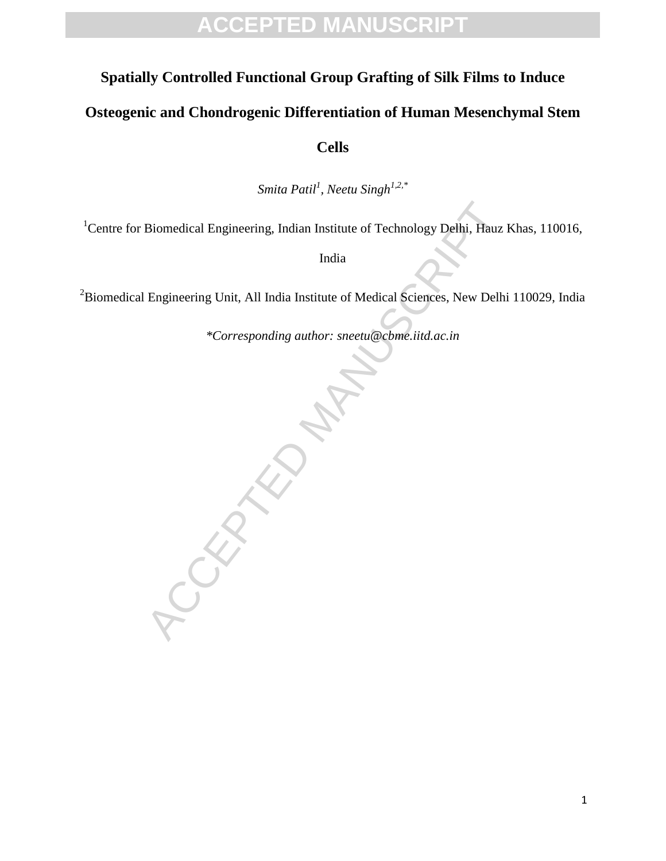## **ACCEPTED MANUSCRIPT**

#### **Spatially Controlled Functional Group Grafting of Silk Films to Induce**

#### **Osteogenic and Chondrogenic Differentiation of Human Mesenchymal Stem**

**Cells**

*Smita Patil<sup>1</sup> , Neetu Singh1,2,\**

<sup>1</sup>Centre for Biomedical Engineering, Indian Institute of Technology Delhi, Hauz Khas, 110016,

India

<sup>2</sup>Biomedical Engineering Unit, All India Institute of Medical Sciences, New Delhi 110029, India

*\*Corresponding author: sneetu@cbme.iitd.ac.in*

**CCEPTED**